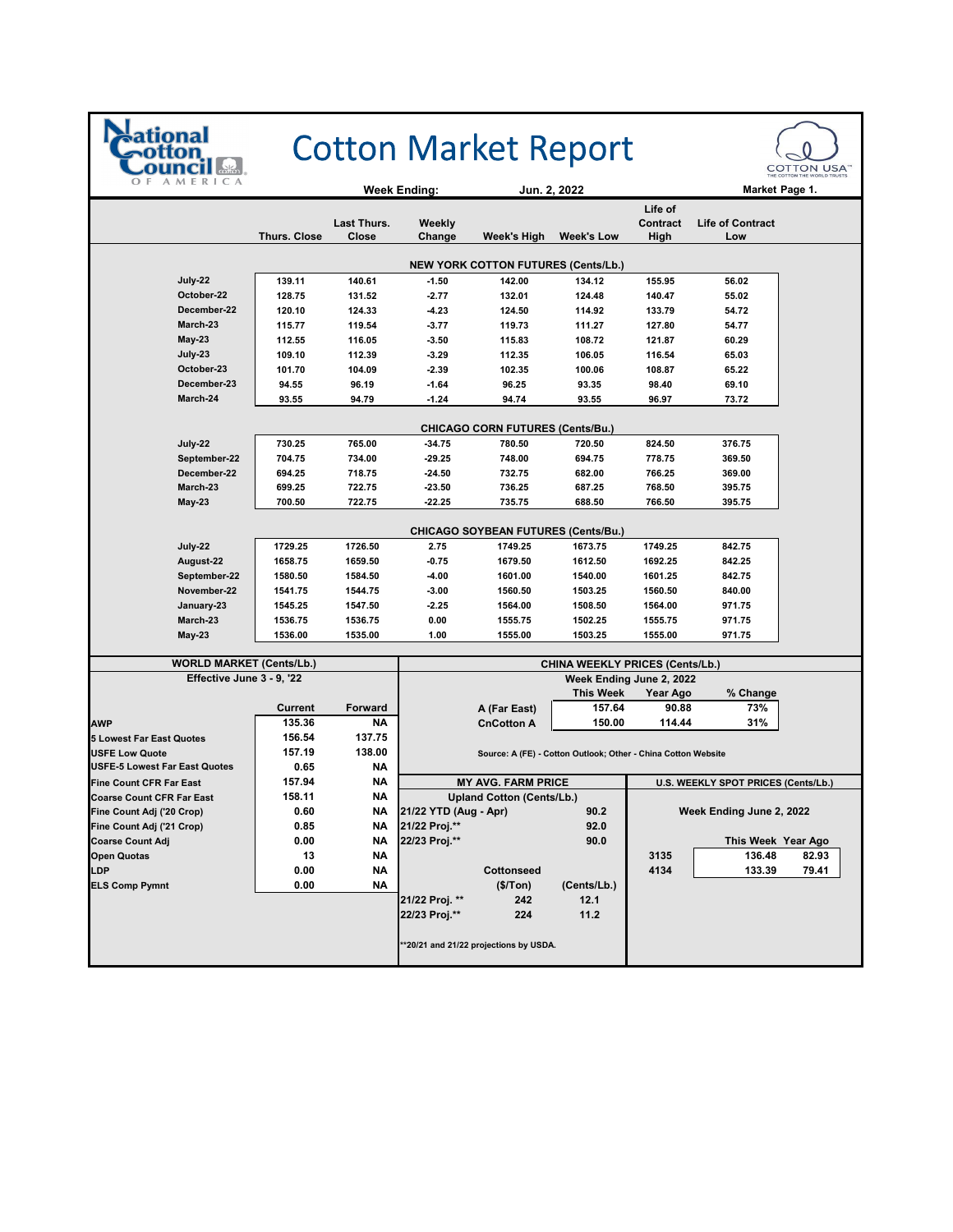

## **Cotton Market Report**



|                                            |                     |                      | Jun. 2, 2022<br>Week Ending:    |                                            | Market Page 1.                                                |                             |                                     |       |
|--------------------------------------------|---------------------|----------------------|---------------------------------|--------------------------------------------|---------------------------------------------------------------|-----------------------------|-------------------------------------|-------|
|                                            | <b>Thurs. Close</b> | Last Thurs.<br>Close | Weekly<br>Change                | Week's High                                | <b>Week's Low</b>                                             | Life of<br>Contract<br>High | <b>Life of Contract</b><br>Low      |       |
| <b>NEW YORK COTTON FUTURES (Cents/Lb.)</b> |                     |                      |                                 |                                            |                                                               |                             |                                     |       |
| July-22                                    | 139.11              | 140.61               | $-1.50$                         | 142.00                                     | 134.12                                                        | 155.95                      | 56.02                               |       |
| October-22                                 | 128.75              | 131.52               | $-2.77$                         | 132.01                                     | 124.48                                                        | 140.47                      | 55.02                               |       |
| December-22                                | 120.10              | 124.33               | $-4.23$                         | 124.50                                     | 114.92                                                        | 133.79                      | 54.72                               |       |
| March-23                                   | 115.77              | 119.54               | $-3.77$                         | 119.73                                     | 111.27                                                        | 127.80                      | 54.77                               |       |
| <b>May-23</b>                              | 112.55              | 116.05               | $-3.50$                         | 115.83                                     | 108.72                                                        | 121.87                      | 60.29                               |       |
| July-23                                    | 109.10              | 112.39               | $-3.29$                         | 112.35                                     | 106.05                                                        | 116.54                      | 65.03                               |       |
| October-23                                 | 101.70              | 104.09               | $-2.39$                         | 102.35                                     | 100.06                                                        | 108.87                      | 65.22                               |       |
| December-23                                | 94.55               | 96.19                | $-1.64$                         | 96.25                                      | 93.35                                                         | 98.40                       | 69.10                               |       |
| March-24                                   | 93.55               | 94.79                | $-1.24$                         | 94.74                                      | 93.55                                                         | 96.97                       | 73.72                               |       |
|                                            |                     |                      |                                 | CHICAGO CORN FUTURES (Cents/Bu.)           |                                                               |                             |                                     |       |
| July-22                                    | 730.25              | 765.00               | $-34.75$                        | 780.50                                     | 720.50                                                        | 824.50                      | 376.75                              |       |
| September-22                               | 704.75              | 734.00               | $-29.25$                        | 748.00                                     | 694.75                                                        | 778.75                      | 369.50                              |       |
| December-22                                | 694.25              | 718.75               | $-24.50$                        | 732.75                                     | 682.00                                                        | 766.25                      | 369.00                              |       |
| March-23                                   | 699.25              | 722.75               | -23.50                          | 736.25                                     | 687.25                                                        | 768.50                      | 395.75                              |       |
| <b>May 23</b>                              | 700.50              | 722.75               | $-22.25$                        | 735.75                                     | 688.50                                                        | 766.50                      | 395.75                              |       |
|                                            |                     |                      |                                 |                                            |                                                               |                             |                                     |       |
|                                            |                     |                      |                                 | <b>CHICAGO SOYBEAN FUTURES (Cents/Bu.)</b> |                                                               |                             |                                     |       |
| July 22                                    | 1729.25             | 1726.50              | 2.75                            | 1749.25                                    | 1673.75                                                       | 1749.25                     | 842.75                              |       |
| August-22                                  | 1658.75             | 1659.50              | $-0.75$                         | 1679.50                                    | 1612.50                                                       | 1692.25                     | 842.25                              |       |
| September-22                               | 1580.50             | 1584.50              | $-4.00$                         | 1601.00                                    | 1540.00                                                       | 1601.25                     | 842.75                              |       |
| November-22                                | 1541.75             | 1544.75              | $-3.00$                         | 1560.50                                    | 1503.25                                                       | 1560.50                     | 840.00                              |       |
| January-23                                 | 1545.25             | 1547.50              | $-2.25$                         | 1564.00                                    | 1508.50                                                       | 1564.00                     | 971.75                              |       |
| March-23                                   | 1536.75             | 1536.75              | 0.00                            | 1555.75                                    | 1502.25                                                       | 1555.75                     | 971.75                              |       |
| <b>May-23</b>                              | 1536.00             | 1535.00              | 1.00                            | 1555.00                                    | 1503.25                                                       | 1555.00                     | 971.75                              |       |
| <b>WORLD MARKET (Cents/Lb.)</b>            |                     |                      | CHINA WEEKLY PRICES (Cents/Lb.) |                                            |                                                               |                             |                                     |       |
| Effective June 3 - 9, '22                  |                     |                      | Week Ending June 2, 2022        |                                            |                                                               |                             |                                     |       |
|                                            |                     |                      |                                 |                                            | <b>This Week</b>                                              | Year Ago                    | % Change                            |       |
|                                            | <b>Current</b>      | <b>Forward</b>       |                                 | A (Far East)                               | 157.64                                                        | 90.88                       | 73%                                 |       |
| <b>AWP</b>                                 | 135.36              | NΑ                   |                                 | <b>CnCotton A</b>                          | 150.00                                                        | 114.44                      | 31%                                 |       |
| <b>5 Lowest Far East Quotes</b>            | 156.54              | 137.75               |                                 |                                            |                                                               |                             |                                     |       |
| <b>USFE Low Quote</b>                      | 157.19              | 138.00               |                                 |                                            | Source: A (FE) - Cotton Outlook; Other - China Cotton Website |                             |                                     |       |
| <b>USFE-5 Lowest Far East Quotes</b>       | 0.65                | ΝA                   |                                 |                                            |                                                               |                             |                                     |       |
| <b>Fine Count CFR Far East</b>             | 157.94              | <b>NA</b>            |                                 | <b>MY AVG. FARM PRICE</b>                  |                                                               |                             | U.S. WEEKLY SPOT PRICES (Cents/Lb.) |       |
| <b>Coarse Count CFR Far East</b>           | 158.11              | ΝA                   |                                 | <b>Upland Cotton (Cents/Lb.)</b>           |                                                               |                             |                                     |       |
| Fine Count Adj ('20 Crop)                  | 0.60                | <b>NA</b>            | 21/22 YTD (Aug - Apr)           |                                            | 90.2                                                          |                             | Week Ending June 2, 2022            |       |
| Fine Count Adj ('21 Crop)                  | 0.85                | ΝA                   | 21/22 Proj.**                   |                                            | 92.0                                                          |                             |                                     |       |
| <b>Coarse Count Adj</b>                    | 0.00                | NΑ                   | 22/23 Proj.**                   |                                            | 90.0                                                          |                             | This Week Year Ago                  |       |
| <b>Open Quotas</b>                         | 13                  | <b>NA</b>            |                                 |                                            |                                                               | 3135                        | 136.48                              | 82.93 |
| LDP                                        | 0.00                | ΝA                   |                                 | Cottonseed                                 |                                                               | 4134                        | 133.39                              | 79.41 |
| <b>ELS Comp Pymnt</b>                      | 0.00                | NΑ                   |                                 | (\$/ Ton)                                  | (Cents/Lb.)                                                   |                             |                                     |       |
|                                            |                     |                      | 21/22 Proj. **                  | 242                                        | 12.1                                                          |                             |                                     |       |
|                                            |                     |                      | 22/23 Proj.**                   | 224                                        | 11.2                                                          |                             |                                     |       |
|                                            |                     |                      |                                 | **20/21 and 21/22 projections by USDA.     |                                                               |                             |                                     |       |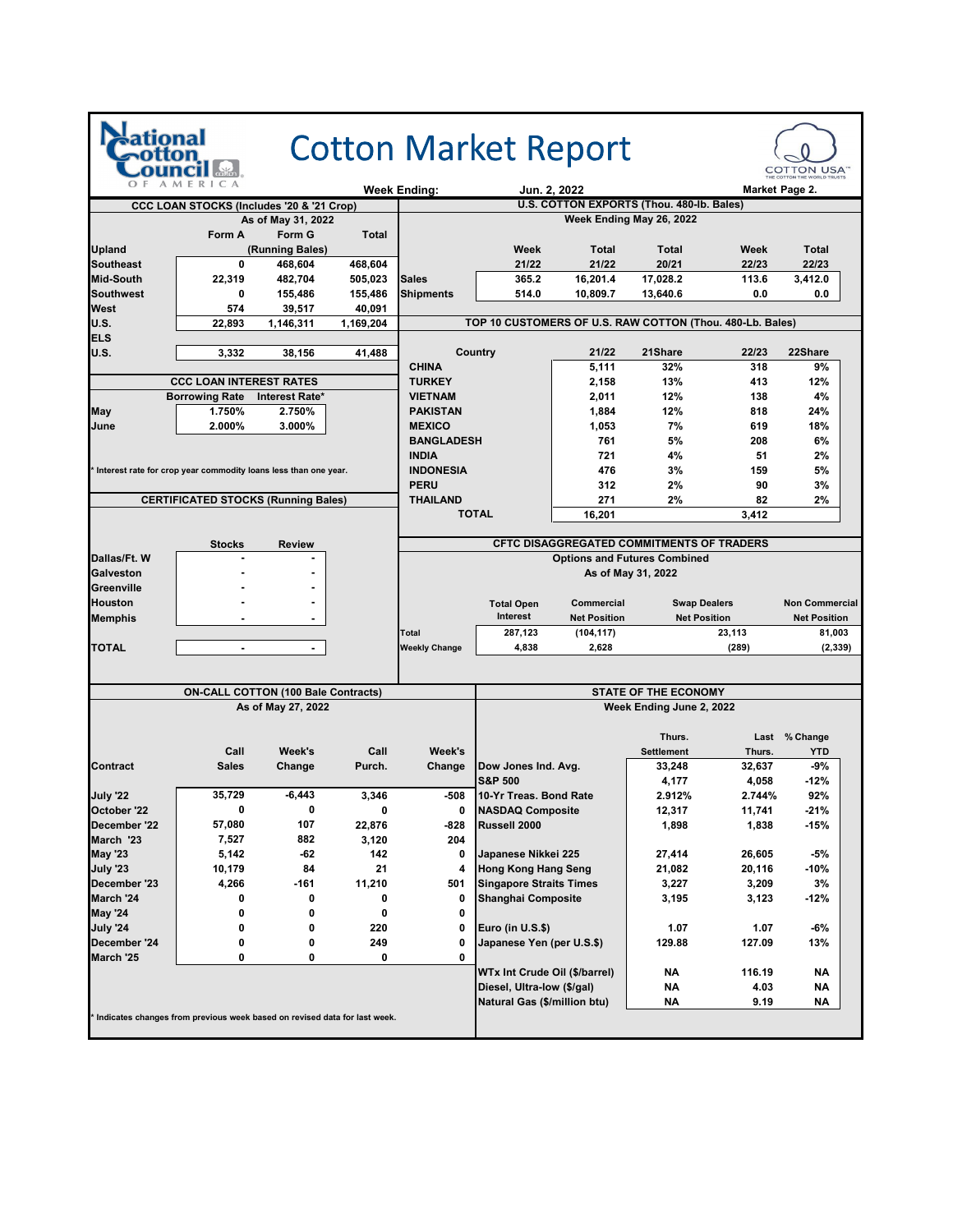|                                            |                                                                           |                     |                     |                                                                                  |                                | <b>Cotton Market Report</b>                               |                             |        | <b>COTTON USA</b>     |  |
|--------------------------------------------|---------------------------------------------------------------------------|---------------------|---------------------|----------------------------------------------------------------------------------|--------------------------------|-----------------------------------------------------------|-----------------------------|--------|-----------------------|--|
|                                            | MERICA                                                                    |                     |                     | <b>Week Ending:</b>                                                              |                                | Jun. 2, 2022                                              |                             |        | Market Page 2.        |  |
|                                            | CCC LOAN STOCKS (Includes '20 & '21 Crop)                                 |                     |                     |                                                                                  |                                | U.S. COTTON EXPORTS (Thou. 480-lb. Bales)                 |                             |        |                       |  |
|                                            |                                                                           | As of May 31, 2022  |                     |                                                                                  |                                |                                                           | Week Ending May 26, 2022    |        |                       |  |
|                                            | Form A                                                                    | Form G              | Total               |                                                                                  |                                |                                                           |                             |        |                       |  |
| <b>Upland</b>                              |                                                                           | (Running Bales)     |                     |                                                                                  | Week                           | Total                                                     | <b>Total</b>                | Week   | <b>Total</b>          |  |
| <b>Southeast</b>                           | 0                                                                         | 468,604             | 468,604             |                                                                                  | 21/22                          | 21/22                                                     | 20/21                       | 22/23  | 22/23                 |  |
| <b>Mid-South</b>                           | 22,319                                                                    | 482,704             | 505,023             | <b>Sales</b>                                                                     | 365.2                          | 16,201.4                                                  | 17,028.2                    | 113.6  | 3,412.0               |  |
| <b>Southwest</b>                           | 0                                                                         | 155,486             | 155,486             | <b>Shipments</b>                                                                 | 514.0                          | 10,809.7                                                  | 13,640.6                    | 0.0    | 0.0                   |  |
| <b>West</b><br><b>U.S.</b>                 | 574<br>22,893                                                             | 39,517<br>1,146,311 | 40,091<br>1,169,204 |                                                                                  |                                | TOP 10 CUSTOMERS OF U.S. RAW COTTON (Thou. 480-Lb. Bales) |                             |        |                       |  |
| <b>ELS</b>                                 |                                                                           |                     |                     |                                                                                  |                                |                                                           |                             |        |                       |  |
| <b>U.S.</b>                                | 3,332                                                                     | 38,156              | 41,488              |                                                                                  | Country                        | 21/22                                                     | 21Share                     | 22/23  | 22Share               |  |
|                                            |                                                                           |                     |                     | <b>CHINA</b>                                                                     |                                | 5,111                                                     | 32%                         | 318    | 9%                    |  |
|                                            | <b>CCC LOAN INTEREST RATES</b>                                            |                     |                     | <b>TURKEY</b>                                                                    |                                | 2,158                                                     | 13%                         | 413    | 12%                   |  |
|                                            | <b>Borrowing Rate</b>                                                     | Interest Rate*      |                     | <b>VIETNAM</b>                                                                   |                                | 2,011                                                     | 12%                         | 138    | 4%                    |  |
| May                                        | 1.750%                                                                    | 2.750%              |                     | <b>PAKISTAN</b>                                                                  |                                | 1,884                                                     | 12%                         | 818    | 24%                   |  |
| June                                       | 2.000%                                                                    | 3.000%              |                     | <b>MEXICO</b>                                                                    |                                | 1,053                                                     | 7%                          | 619    | 18%                   |  |
|                                            |                                                                           |                     |                     | <b>BANGLADESH</b>                                                                |                                | 761                                                       | 5%                          | 208    | 6%                    |  |
|                                            |                                                                           |                     |                     | <b>INDIA</b>                                                                     |                                | 721                                                       | 4%                          | 51     | 2%                    |  |
|                                            | Interest rate for crop year commodity loans less than one year.           |                     |                     | <b>INDONESIA</b>                                                                 |                                | 476                                                       | 3%                          | 159    | 5%                    |  |
|                                            |                                                                           |                     |                     | <b>PERU</b>                                                                      |                                | 312                                                       | 2%                          | 90     | 3%                    |  |
|                                            | <b>CERTIFICATED STOCKS (Running Bales)</b>                                |                     |                     | <b>THAILAND</b>                                                                  |                                | 271                                                       | 2%                          | 82     | 2%                    |  |
|                                            |                                                                           |                     |                     |                                                                                  | <b>TOTAL</b>                   | 16,201                                                    |                             | 3,412  |                       |  |
|                                            |                                                                           |                     |                     |                                                                                  |                                |                                                           |                             |        |                       |  |
|                                            | <b>Stocks</b>                                                             | <b>Review</b>       |                     | CFTC DISAGGREGATED COMMITMENTS OF TRADERS<br><b>Options and Futures Combined</b> |                                |                                                           |                             |        |                       |  |
| Dallas/Ft. W<br>Galveston                  |                                                                           |                     |                     |                                                                                  |                                |                                                           | As of May 31, 2022          |        |                       |  |
| Greenville                                 |                                                                           |                     |                     |                                                                                  |                                |                                                           |                             |        |                       |  |
| <b>Houston</b>                             |                                                                           | $\blacksquare$      |                     |                                                                                  | <b>Total Open</b>              | Commercial                                                | <b>Swap Dealers</b>         |        | <b>Non Commercial</b> |  |
| <b>Memphis</b>                             |                                                                           |                     |                     |                                                                                  | Interest                       | <b>Net Position</b>                                       | <b>Net Position</b>         |        | <b>Net Position</b>   |  |
|                                            |                                                                           |                     |                     | <b>Total</b>                                                                     | 287,123                        | (104, 117)                                                |                             | 23,113 | 81,003                |  |
| <b>TOTAL</b>                               | $\blacksquare$                                                            | $\blacksquare$      |                     | <b>Weekly Change</b>                                                             | 4,838                          | 2,628                                                     |                             | (289)  | (2, 339)              |  |
|                                            |                                                                           |                     |                     |                                                                                  |                                |                                                           |                             |        |                       |  |
|                                            |                                                                           |                     |                     |                                                                                  |                                |                                                           |                             |        |                       |  |
| <b>ON-CALL COTTON (100 Bale Contracts)</b> |                                                                           |                     |                     | <b>STATE OF THE ECONOMY</b>                                                      |                                |                                                           |                             |        |                       |  |
|                                            |                                                                           | As of May 27, 2022  |                     |                                                                                  | Week Ending June 2, 2022       |                                                           |                             |        |                       |  |
|                                            |                                                                           |                     |                     |                                                                                  |                                |                                                           |                             |        |                       |  |
|                                            | Call                                                                      |                     | Call                |                                                                                  |                                |                                                           | Thurs.                      | Thurs. | Last % Change         |  |
| <b>Contract</b>                            | <b>Sales</b>                                                              | Week's<br>Change    | Purch.              | Week's<br>Change                                                                 | Dow Jones Ind. Avg.            |                                                           | <b>Settlement</b><br>33,248 | 32,637 | YTD<br>-9%            |  |
|                                            |                                                                           |                     |                     |                                                                                  | <b>S&amp;P 500</b>             |                                                           | 4,177                       | 4,058  | $-12%$                |  |
| July '22                                   | 35,729                                                                    | $-6,443$            | 3,346               | -508                                                                             | 10-Yr Treas. Bond Rate         |                                                           | 2.912%                      | 2.744% | 92%                   |  |
| October '22                                | 0                                                                         | 0                   | 0                   | 0                                                                                | <b>NASDAQ Composite</b>        |                                                           | 12,317                      | 11,741 | $-21%$                |  |
| December '22                               | 57,080                                                                    | 107                 | 22,876              | -828                                                                             | Russell 2000                   |                                                           | 1,898                       | 1,838  | $-15%$                |  |
| March '23                                  | 7,527                                                                     | 882                 | 3,120               | 204                                                                              |                                |                                                           |                             |        |                       |  |
| <b>May '23</b>                             | 5,142                                                                     | -62                 | 142                 | 0                                                                                | Japanese Nikkei 225            |                                                           | 27,414                      | 26,605 | -5%                   |  |
| July '23                                   | 10,179                                                                    | 84                  | 21                  | 4                                                                                | <b>Hong Kong Hang Seng</b>     |                                                           | 21,082                      | 20,116 | -10%                  |  |
| December '23                               | 4,266                                                                     | -161                | 11,210              | 501                                                                              | <b>Singapore Straits Times</b> |                                                           | 3,227                       | 3,209  | 3%                    |  |
| March '24                                  | 0                                                                         | 0                   | 0                   | 0                                                                                | <b>Shanghai Composite</b>      |                                                           | 3,195                       | 3,123  | -12%                  |  |
| <b>May '24</b>                             | 0                                                                         | 0                   | 0                   | 0                                                                                |                                |                                                           |                             |        |                       |  |
| <b>July '24</b>                            | 0                                                                         | 0                   | 220                 | 0                                                                                | Euro (in U.S.\$)               |                                                           | 1.07                        | 1.07   | -6%                   |  |
| December '24                               | 0                                                                         | 0                   | 249                 | 0                                                                                | Japanese Yen (per U.S.\$)      |                                                           | 129.88                      | 127.09 | 13%                   |  |
| March '25                                  | 0                                                                         | 0                   | 0                   | 0                                                                                |                                |                                                           |                             |        |                       |  |
|                                            |                                                                           |                     |                     |                                                                                  | WTx Int Crude Oil (\$/barrel)  |                                                           | NΑ                          | 116.19 | ΝA                    |  |
|                                            |                                                                           |                     |                     |                                                                                  | Diesel, Ultra-low (\$/gal)     |                                                           | NΑ                          | 4.03   | ΝA                    |  |
|                                            |                                                                           |                     |                     |                                                                                  | Natural Gas (\$/million btu)   |                                                           | NΑ                          | 9.19   | ΝA                    |  |
|                                            | Indicates changes from previous week based on revised data for last week. |                     |                     |                                                                                  |                                |                                                           |                             |        |                       |  |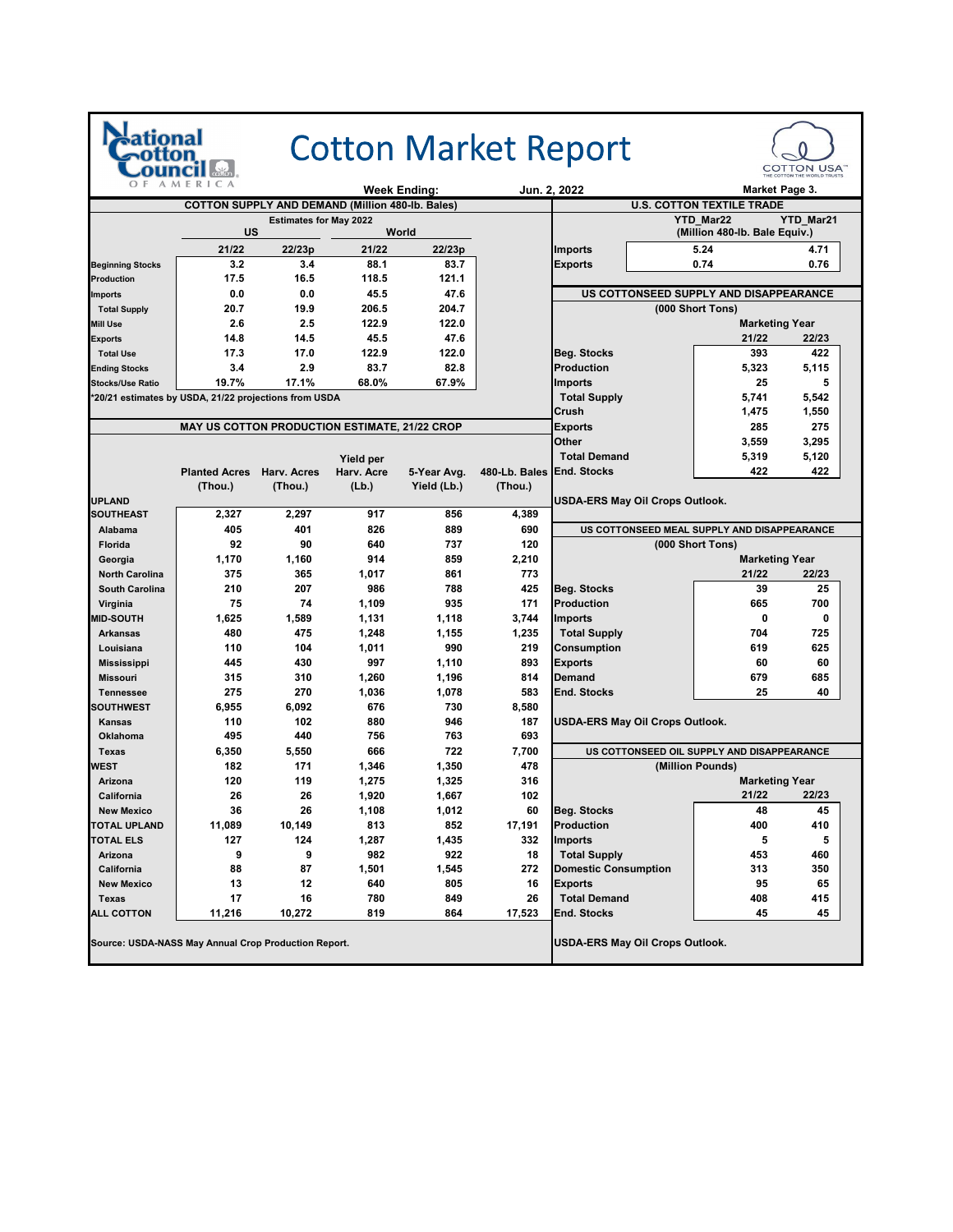| afiona                                                | AMERICA                                              |                                                         |            |                     |                           | <b>Cotton Market Report</b>                 |                                            | <b>COTTON USA"</b> |  |
|-------------------------------------------------------|------------------------------------------------------|---------------------------------------------------------|------------|---------------------|---------------------------|---------------------------------------------|--------------------------------------------|--------------------|--|
|                                                       |                                                      |                                                         |            | <b>Week Ending:</b> |                           | Jun. 2. 2022                                | Market Page 3.                             |                    |  |
|                                                       |                                                      | <b>COTTON SUPPLY AND DEMAND (Million 480-lb. Bales)</b> |            |                     |                           |                                             | <b>U.S. COTTON TEXTILE TRADE</b>           |                    |  |
|                                                       | US                                                   | <b>Estimates for May 2022</b>                           |            | World               |                           |                                             | YTD_Mar22<br>(Million 480-lb. Bale Equiv.) | <b>YTD Mar21</b>   |  |
|                                                       | 21/22                                                | 22/23p                                                  | 21/22      | 22/23p              |                           | <b>Imports</b>                              | 5.24                                       | 4.71               |  |
| <b>Beginning Stocks</b>                               | 3.2                                                  | 3.4                                                     | 88.1       | 83.7                |                           | <b>Exports</b>                              | 0.74                                       | 0.76               |  |
| <b>Production</b>                                     | 17.5                                                 | 16.5                                                    | 118.5      | 121.1               |                           |                                             |                                            |                    |  |
| <b>Imports</b>                                        | 0.0                                                  | 0.0                                                     | 45.5       | 47.6                |                           | US COTTONSEED SUPPLY AND DISAPPEARANCE      |                                            |                    |  |
| <b>Total Supply</b>                                   | 20.7                                                 | 19.9                                                    | 206.5      | 204.7               |                           |                                             | (000 Short Tons)                           |                    |  |
| <b>Mill Use</b>                                       | 2.6                                                  | 2.5                                                     | 122.9      | 122.0               |                           |                                             | <b>Marketing Year</b>                      |                    |  |
| <b>Exports</b>                                        | 14.8                                                 | 14.5                                                    | 45.5       | 47.6                |                           |                                             | 21/22                                      | 22/23              |  |
| <b>Total Use</b>                                      | 17.3                                                 | 17.0                                                    | 122.9      | 122.0               |                           | <b>Beg. Stocks</b>                          | 393                                        | 422                |  |
| <b>Ending Stocks</b>                                  | 3.4                                                  | 2.9                                                     | 83.7       | 82.8                |                           | <b>Production</b>                           | 5,323                                      | 5,115              |  |
| <b>Stocks/Use Ratio</b>                               | 19.7%                                                | 17.1%                                                   | 68.0%      | 67.9%               |                           | <b>Imports</b>                              | 25                                         | 5                  |  |
| *20/21 estimates by USDA, 21/22 projections from USDA |                                                      |                                                         |            |                     |                           | <b>Total Supply</b>                         | 5,741                                      | 5,542              |  |
|                                                       |                                                      |                                                         |            |                     |                           | Crush                                       | 1,475                                      | 1,550              |  |
|                                                       | <b>MAY US COTTON PRODUCTION ESTIMATE, 21/22 CROP</b> |                                                         |            |                     |                           | <b>Exports</b>                              | 285                                        | 275                |  |
|                                                       |                                                      |                                                         |            |                     |                           | Other                                       | 3,559                                      | 3,295              |  |
|                                                       |                                                      |                                                         | Yield per  |                     |                           | <b>Total Demand</b>                         | 5,319                                      | 5,120              |  |
|                                                       | <b>Planted Acres</b>                                 | Harv. Acres                                             | Harv. Acre | 5-Year Avg.         | 480-Lb. Bales End. Stocks |                                             | 422                                        | 422                |  |
|                                                       | (Thou.)                                              | (Thou.)                                                 | (Lb.)      | Yield (Lb.)         | (Thou.)                   |                                             |                                            |                    |  |
| <b>UPLAND</b>                                         |                                                      |                                                         | 917        | 856                 |                           | USDA-ERS May Oil Crops Outlook.             |                                            |                    |  |
| <b>SOUTHEAST</b>                                      | 2,327                                                | 2,297                                                   |            |                     | 4,389                     |                                             |                                            |                    |  |
| Alabama<br>Florida                                    | 405<br>92                                            | 401<br>90                                               | 826<br>640 | 889<br>737          | 690<br>120                | US COTTONSEED MEAL SUPPLY AND DISAPPEARANCE | (000 Short Tons)                           |                    |  |
| Georgia                                               | 1,170                                                | 1,160                                                   | 914        | 859                 | 2,210                     |                                             | <b>Marketing Year</b>                      |                    |  |
| <b>North Carolina</b>                                 | 375                                                  | 365                                                     | 1,017      | 861                 | 773                       |                                             | 21/22                                      | 22/23              |  |
| <b>South Carolina</b>                                 | 210                                                  | 207                                                     | 986        | 788                 | 425                       | Beg. Stocks                                 | 39                                         | 25                 |  |
| Virginia                                              | 75                                                   | 74                                                      | 1,109      | 935                 | 171                       | <b>Production</b>                           | 665                                        | 700                |  |
| <b>MID-SOUTH</b>                                      | 1,625                                                | 1,589                                                   | 1,131      | 1,118               | 3,744                     | Imports                                     | 0                                          | 0                  |  |
| <b>Arkansas</b>                                       | 480                                                  | 475                                                     | 1,248      | 1,155               | 1,235                     | <b>Total Supply</b>                         | 704                                        | 725                |  |
| Louisiana                                             | 110                                                  | 104                                                     | 1,011      | 990                 | 219                       | Consumption                                 | 619                                        | 625                |  |
| <b>Mississippi</b>                                    | 445                                                  | 430                                                     | 997        | 1,110               | 893                       | Exports                                     | 60                                         | 60                 |  |
| <b>Missouri</b>                                       | 315                                                  | 310                                                     | 1,260      | 1,196               | 814                       | Demand                                      | 679                                        | 685                |  |
| <b>Tennessee</b>                                      | 275                                                  | 270                                                     | 1,036      | 1,078               | 583                       | <b>End. Stocks</b>                          | 25                                         | 40                 |  |
| <b>SOUTHWEST</b>                                      | 6,955                                                | 6,092                                                   | 676        | 730                 | 8,580                     |                                             |                                            |                    |  |
| Kansas                                                | 110                                                  | 102                                                     | 880        | 946                 | 187                       | USDA-ERS May Oil Crops Outlook.             |                                            |                    |  |
| <b>Oklahoma</b>                                       | 495                                                  | 440                                                     | 756        | 763                 | 693                       |                                             |                                            |                    |  |
| <b>Texas</b>                                          | 6,350                                                | 5,550                                                   | 666        | 722                 | 7,700                     | US COTTONSEED OIL SUPPLY AND DISAPPEARANCE  |                                            |                    |  |
| WEST                                                  | 182                                                  | 171                                                     | 1,346      | 1,350               | 478                       |                                             | (Million Pounds)                           |                    |  |
| Arizona                                               | 120                                                  | 119                                                     | 1,275      | 1,325               | 316                       |                                             | <b>Marketing Year</b>                      |                    |  |
| California                                            | 26                                                   | 26                                                      | 1,920      | 1,667               | 102                       |                                             | 21/22                                      | 22/23              |  |
| <b>New Mexico</b>                                     | 36                                                   | 26                                                      | 1,108      | 1,012               | 60                        | Beg. Stocks                                 | 48                                         | 45                 |  |
| <b>TOTAL UPLAND</b>                                   | 11,089                                               | 10,149                                                  | 813        | 852                 | 17,191                    | <b>Production</b>                           | 400                                        | 410                |  |
| <b>TOTAL ELS</b>                                      | 127<br>9                                             | 124                                                     | 1,287      | 1,435               | 332                       | <b>Imports</b><br><b>Total Supply</b>       | 5                                          | 5                  |  |
| Arizona                                               |                                                      | 9                                                       | 982        | 922                 | 18                        |                                             | 453                                        | 460                |  |
| California<br><b>New Mexico</b>                       | 88                                                   | 87<br>12                                                | 1,501      | 1,545<br>805        | 272                       | <b>Domestic Consumption</b>                 | 313                                        | 350                |  |
| Texas                                                 | 13<br>17                                             | 16                                                      | 640<br>780 | 849                 | 16<br>26                  | Exports<br><b>Total Demand</b>              | 95<br>408                                  | 65<br>415          |  |
| <b>ALL COTTON</b>                                     | 11,216                                               | 10,272                                                  | 819        | 864                 | 17,523                    | End. Stocks                                 | 45                                         | 45                 |  |
| Source: USDA-NASS May Annual Crop Production Report.  |                                                      |                                                         |            |                     |                           | USDA-ERS May Oil Crops Outlook.             |                                            |                    |  |